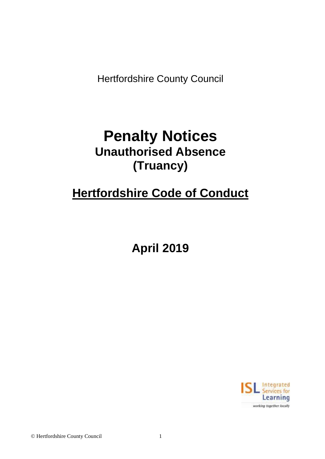Hertfordshire County Council

# **Penalty Notices Unauthorised Absence (Truancy)**

# **Hertfordshire Code of Conduct**

**April 2019**

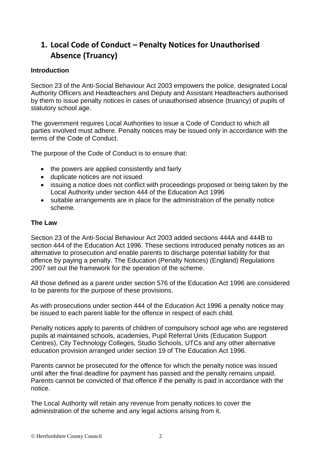# **1. Local Code of Conduct – Penalty Notices for Unauthorised Absence (Truancy)**

# **Introduction**

Section 23 of the Anti-Social Behaviour Act 2003 empowers the police, designated Local Authority Officers and Headteachers and Deputy and Assistant Headteachers authorised by them to issue penalty notices in cases of unauthorised absence (truancy) of pupils of statutory school age.

The government requires Local Authorities to issue a Code of Conduct to which all parties involved must adhere. Penalty notices may be issued only in accordance with the terms of the Code of Conduct.

The purpose of the Code of Conduct is to ensure that:

- the powers are applied consistently and fairly
- duplicate notices are not issued
- issuing a notice does not conflict with proceedings proposed or being taken by the Local Authority under section 444 of the Education Act 1996
- suitable arrangements are in place for the administration of the penalty notice scheme.

# **The Law**

Section 23 of the Anti-Social Behaviour Act 2003 added sections 444A and 444B to section 444 of the Education Act 1996. These sections introduced penalty notices as an alternative to prosecution and enable parents to discharge potential liability for that offence by paying a penalty. The Education (Penalty Notices) (England) Regulations 2007 set out the framework for the operation of the scheme.

All those defined as a parent under section 576 of the Education Act 1996 are considered to be parents for the purpose of these provisions.

As with prosecutions under section 444 of the Education Act 1996 a penalty notice may be issued to each parent liable for the offence in respect of each child.

Penalty notices apply to parents of children of compulsory school age who are registered pupils at maintained schools, academies, Pupil Referral Units (Education Support Centres), City Technology Colleges, Studio Schools, UTCs and any other alternative education provision arranged under section 19 of The Education Act 1996.

Parents cannot be prosecuted for the offence for which the penalty notice was issued until after the final deadline for payment has passed and the penalty remains unpaid. Parents cannot be convicted of that offence if the penalty is paid in accordance with the notice.

The Local Authority will retain any revenue from penalty notices to cover the administration of the scheme and any legal actions arising from it.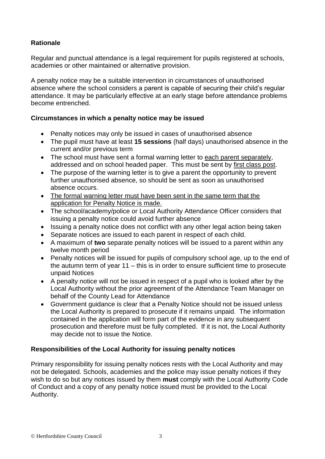# **Rationale**

Regular and punctual attendance is a legal requirement for pupils registered at schools, academies or other maintained or alternative provision.

A penalty notice may be a suitable intervention in circumstances of unauthorised absence where the school considers a parent is capable of securing their child's regular attendance. It may be particularly effective at an early stage before attendance problems become entrenched.

# **Circumstances in which a penalty notice may be issued**

- Penalty notices may only be issued in cases of unauthorised absence
- The pupil must have at least **15 sessions** (half days) unauthorised absence in the current and/or previous term
- The school must have sent a formal warning letter to each parent separately, addressed and on school headed paper. This must be sent by first class post.
- The purpose of the warning letter is to give a parent the opportunity to prevent further unauthorised absence, so should be sent as soon as unauthorised absence occurs.
- The formal warning letter must have been sent in the same term that the application for Penalty Notice is made.
- The school/academy/police or Local Authority Attendance Officer considers that issuing a penalty notice could avoid further absence
- Issuing a penalty notice does not conflict with any other legal action being taken
- Separate notices are issued to each parent in respect of each child.
- A maximum of **two** separate penalty notices will be issued to a parent within any twelve month period
- Penalty notices will be issued for pupils of compulsory school age, up to the end of the autumn term of year 11 – this is in order to ensure sufficient time to prosecute unpaid Notices
- A penalty notice will not be issued in respect of a pupil who is looked after by the Local Authority without the prior agreement of the Attendance Team Manager on behalf of the County Lead for Attendance
- Government guidance is clear that a Penalty Notice should not be issued unless the Local Authority is prepared to prosecute if it remains unpaid. The information contained in the application will form part of the evidence in any subsequent prosecution and therefore must be fully completed. If it is not, the Local Authority may decide not to issue the Notice.

# **Responsibilities of the Local Authority for issuing penalty notices**

Primary responsibility for issuing penalty notices rests with the Local Authority and may not be delegated. Schools, academies and the police may issue penalty notices if they wish to do so but any notices issued by them **must** comply with the Local Authority Code of Conduct and a copy of any penalty notice issued must be provided to the Local Authority.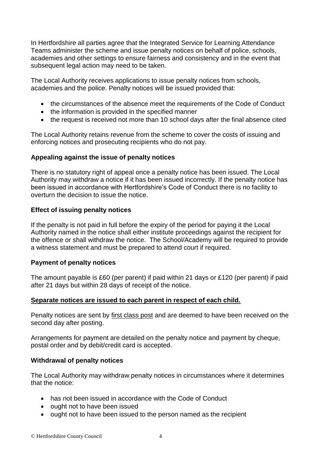In Hertfordshire all parties agree that the Integrated Service for Learning Attendance Teams administer the scheme and issue penalty notices on behalf of police, schools, academies and other settings to ensure fairness and consistency and in the event that subsequent legal action may need to be taken.

The Local Authority receives applications to issue penalty notices from schools, academies and the police. Penalty notices will be issued provided that:

- the circumstances of the absence meet the requirements of the Code of Conduct
- the information is provided in the specified manner
- the request is received not more than 10 school days after the final absence cited

The Local Authority retains revenue from the scheme to cover the costs of issuing and enforcing notices and prosecuting recipients who do not pay.

# **Appealing against the issue of penalty notices**

There is no statutory right of appeal once a penalty notice has been issued. The Local Authority may withdraw a notice if it has been issued incorrectly. If the penalty notice has been issued in accordance with Hertfordshire's Code of Conduct there is no facility to overturn the decision to issue the notice.

# **Effect of issuing penalty notices**

If the penalty is not paid in full before the expiry of the period for paying it the Local Authority named in the notice shall either institute proceedings against the recipient for the offence or shall withdraw the notice. The School/Academy will be required to provide a witness statement and must be prepared to attend court if required.

### **Payment of penalty notices**

The amount payable is £60 (per parent) if paid within 21 days or £120 (per parent) if paid after 21 days but within 28 days of receipt of the notice.

### **Separate notices are issued to each parent in respect of each child.**

Penalty notices are sent by first class post and are deemed to have been received on the second day after posting.

Arrangements for payment are detailed on the penalty notice and payment by cheque, postal order and by debit/credit card is accepted.

### **Withdrawal of penalty notices**

The Local Authority may withdraw penalty notices in circumstances where it determines that the notice:

- has not been issued in accordance with the Code of Conduct
- ought not to have been issued
- ought not to have been issued to the person named as the recipient